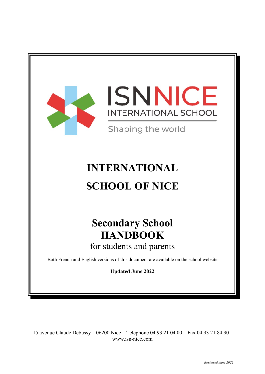



Shaping the world

# **INTERNATIONAL SCHOOL OF NICE**

# **Secondary School HANDBOOK** for students and parents

Both French and English versions of this document are available on the school website

**Updated June 2022** 

15 avenue Claude Debussy – 06200 Nice – Telephone 04 93 21 04 00 – Fax 04 93 21 84 90 www.isn-nice.com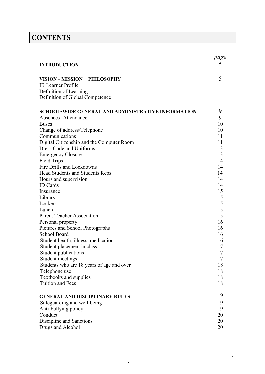# **CONTENTS**

| <b>INTRODUCTION</b>                                               | <u>page</u><br>5 |
|-------------------------------------------------------------------|------------------|
|                                                                   |                  |
| VISION - MISSION - PHILOSOPHY                                     | 5                |
| <b>IB</b> Learner Profile                                         |                  |
| Definition of Learning                                            |                  |
| Definition of Global Competence                                   |                  |
| <b>SCHOOL-WIDE GENERAL AND ADMINISTRATIVE INFORMATION</b>         | 9                |
| Absences-Attendance                                               | 9                |
| <b>Buses</b>                                                      | 10               |
| Change of address/Telephone                                       | 10               |
| Communications                                                    | 11               |
| Digital Citizenship and the Computer Room                         | 11               |
| Dress Code and Uniforms                                           | 13               |
| <b>Emergency Closure</b>                                          | 13               |
| <b>Field Trips</b>                                                | 14               |
| Fire Drills and Lockdowns                                         | 14               |
| Head Students and Students Reps                                   | 14               |
| Hours and supervision                                             | 14               |
| <b>ID</b> Cards                                                   | 14               |
| Insurance                                                         | 15               |
| Library                                                           | 15               |
| Lockers                                                           | 15               |
| Lunch                                                             | 15               |
| <b>Parent Teacher Association</b>                                 | 15               |
| Personal property                                                 | 16               |
| Pictures and School Photographs                                   | 16               |
| School Board                                                      | 16               |
| Student health, illness, medication<br>Student placement in class | 16<br>17         |
|                                                                   | 17               |
| Student publications<br>Student meetings                          | 17               |
| Students who are 18 years of age and over                         | 18               |
| Telephone use                                                     | 18               |
| Textbooks and supplies                                            | 18               |
| <b>Tuition and Fees</b>                                           | 18               |
|                                                                   |                  |
| <b>GENERAL AND DISCIPLINARY RULES</b>                             | 19               |
| Safeguarding and well-being                                       | 19               |
| Anti-bullying policy                                              | 19               |
| Conduct                                                           | 20               |
| Discipline and Sanctions                                          | 20               |
| Drugs and Alcohol                                                 | 20               |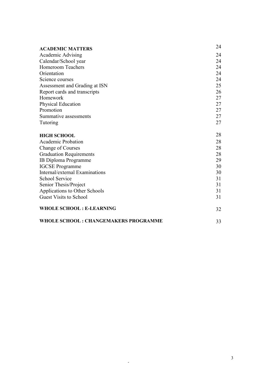| <b>ACADEMIC MATTERS</b>                     | 24 |
|---------------------------------------------|----|
| Academic Advising                           | 24 |
| Calendar/School year                        | 24 |
| <b>Homeroom Teachers</b>                    | 24 |
| Orientation                                 | 24 |
| Science courses                             | 24 |
| Assessment and Grading at ISN               | 25 |
| Report cards and transcripts                | 26 |
| Homework                                    | 27 |
| Physical Education                          | 27 |
| Promotion                                   | 27 |
| Summative assessments                       | 27 |
| Tutoring                                    | 27 |
|                                             | 28 |
| <b>HIGH SCHOOL</b>                          |    |
| <b>Academic Probation</b>                   | 28 |
| <b>Change of Courses</b>                    | 28 |
| <b>Graduation Requirements</b>              | 28 |
| <b>IB Diploma Programme</b>                 | 29 |
| <b>IGCSE</b> Programme                      | 30 |
| Internal/external Examinations              | 30 |
| <b>School Service</b>                       | 31 |
| Senior Thesis/Project                       | 31 |
| Applications to Other Schools               | 31 |
| <b>Guest Visits to School</b>               | 31 |
| <b>WHOLE SCHOOL: E-LEARNING</b>             | 32 |
| <b>WHOLE SCHOOL: CHANGEMAKERS PROGRAMME</b> | 33 |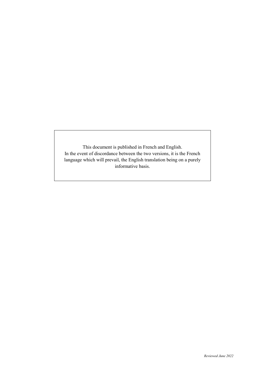This document is published in French and English. In the event of discordance between the two versions, it is the French language which will prevail, the English translation being on a purely informative basis.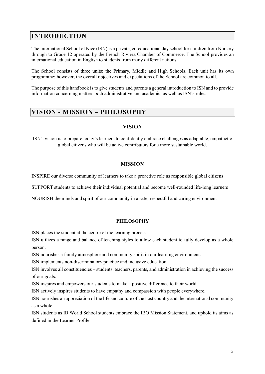# **INTRODUCTION**

The International School of Nice (ISN) is a private, co-educational day school for children from Nursery through to Grade 12 operated by the French Riviera Chamber of Commerce. The School provides an international education in English to students from many different nations.

The School consists of three units: the Primary, Middle and High Schools. Each unit has its own programme; however, the overall objectives and expectations of the School are common to all.

The purpose of this handbook is to give students and parents a general introduction to ISN and to provide information concerning matters both administrative and academic, as well as ISN's rules.

## **VISION - MISSION – PHILOSOPHY**

## **VISION**

ISN's vision is to prepare today's learners to confidently embrace challenges as adaptable, empathetic global citizens who will be active contributors for a more sustainable world.

## **MISSION**

INSPIRE our diverse community of learners to take a proactive role as responsible global citizens

SUPPORT students to achieve their individual potential and become well-rounded life-long learners

NOURISH the minds and spirit of our community in a safe, respectful and caring environment

#### **PHILOSOPHY**

ISN places the student at the centre of the learning process.

ISN utilizes a range and balance of teaching styles to allow each student to fully develop as a whole person.

ISN nourishes a family atmosphere and community spirit in our learning environment.

ISN implements non-discriminatory practice and inclusive education.

ISN involves all constituencies – students, teachers, parents, and administration in achieving the success of our goals.

ISN inspires and empowers our students to make a positive difference to their world.

ISN actively inspires students to have empathy and compassion with people everywhere.

ISN nourishes an appreciation of the life and culture of the host country and the international community as a whole.

ISN students as IB World School students embrace the IBO Mission Statement, and uphold its aims as defined in the Learner Profile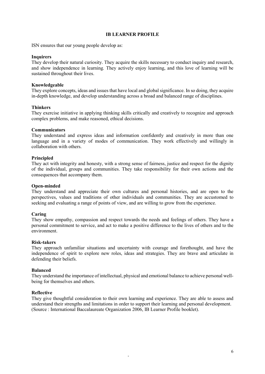#### **IB LEARNER PROFILE**

ISN ensures that our young people develop as:

#### **Inquirers**

They develop their natural curiosity. They acquire the skills necessary to conduct inquiry and research, and show independence in learning*.* They actively enjoy learning, and this love of learning will be sustained throughout their lives.

#### **Knowledgeable**

They explore concepts, ideas and issues that have local and global significance. In so doing, they acquire in-depth knowledge, and develop understanding across a broad and balanced range of disciplines.

#### **Thinkers**

They exercise initiative in applying thinking skills critically and creatively to recognize and approach complex problems, and make reasoned, ethical decisions.

#### **Communicators**

They understand and express ideas and information confidently and creatively in more than one language and in a variety of modes of communication. They work effectively and willingly in collaboration with others.

#### **Principled**

They act with integrity and honesty, with a strong sense of fairness, justice and respect for the dignity of the individual, groups and communities. They take responsibility for their own actions and the consequences that accompany them.

#### **Open-minded**

They understand and appreciate their own cultures and personal histories, and are open to the perspectives, values and traditions of other individuals and communities. They are accustomed to seeking and evaluating a range of points of view, and are willing to grow from the experience.

#### **Caring**

They show empathy, compassion and respect towards the needs and feelings of others. They have a personal commitment to service, and act to make a positive difference to the lives of others and to the environment.

#### **Risk-takers**

They approach unfamiliar situations and uncertainty with courage and forethought, and have the independence of spirit to explore new roles, ideas and strategies. They are brave and articulate in defending their beliefs.

#### **Balanced**

They understand the importance of intellectual, physical and emotional balance to achieve personal wellbeing for themselves and others.

#### **Reflective**

They give thoughtful consideration to their own learning and experience. They are able to assess and understand their strengths and limitations in order to support their learning and personal development. (Source : International Baccalaureate Organization 2006, IB Learner Profile booklet).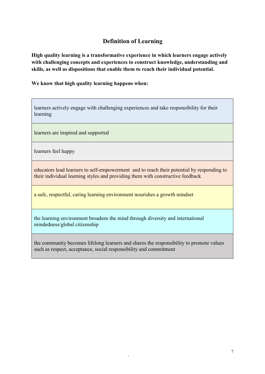# **Definition of Learning**

**High quality learning is a transformative experience in which learners engage actively with challenging concepts and experiences to construct knowledge, understanding and skills, as well as dispositions that enable them to reach their individual potential.** 

**We know that high quality learning happens when:**

learners actively engage with challenging experiences and take responsibility for their learning

learners are inspired and supported

learners feel happy

educators lead learners to self-empowerment and to reach their potential by responding to their individual learning styles and providing them with constructive feedback

a safe, respectful, caring learning environment nourishes a growth mindset

the learning environment broadens the mind through diversity and international mindedness/global citizenship

the community becomes lifelong learners and shares the responsibility to promote values such as respect, acceptance, social responsibility and commitment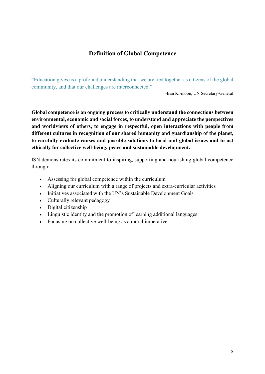# **Definition of Global Competence**

"Education gives us a profound understanding that we are tied together as citizens of the global community, and that our challenges are interconnected."

-Ban Ki-moon, UN Secretary-General

**Global competence is an ongoing process to critically understand the connections between environmental, economic and social forces, to understand and appreciate the perspectives and worldviews of others, to engage in respectful, open interactions with people from different cultures in recognition of our shared humanity and guardianship of the planet, to carefully evaluate causes and possible solutions to local and global issues and to act ethically for collective well-being, peace and sustainable development.**

ISN demonstrates its commitment to inspiring, supporting and nourishing global competence through:

- Assessing for global competence within the curriculum
- Aligning our curriculum with a range of projects and extra-curricular activities

- Initiatives associated with the UN's Sustainable Development Goals
- Culturally relevant pedagogy
- Digital citizenship
- Linguistic identity and the promotion of learning additional languages
- Focusing on collective well-being as a moral imperative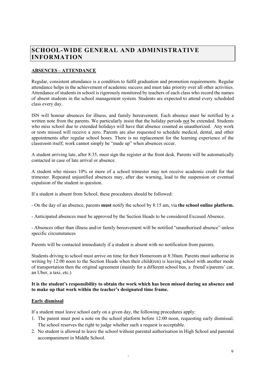# **SCHOOL-WIDE GENERAL AND ADMINISTRATIVE INFORMATION**

## **ABSENCES – ATTENDANCE**

Regular, consistent attendance is a condition to fulfil graduation and promotion requirements. Regular attendance helps in the achievement of academic success and must take priority over all other activities. Attendance of students in school is rigorously monitored by teachers of each class who record the names of absent students in the school management system. Students are expected to attend every scheduled class every day.

ISN will honour absences for illness, and family bereavement. Each absence must be notified by a written note from the parents. We particularly insist that the holiday periods not be extended. Students who miss school due to extended holidays will have that absence counted as unauthorized. Any work or tests missed will receive a zero. Parents are also requested to schedule medical, dental, and other appointments after regular school hours. There is no replacement for the learning experience of the classroom itself; work cannot simply be "made up" when absences occur.

A student arriving late, after 8:35, must sign the register at the front desk. Parents will be automatically contacted in case of late arrival or absence.

A student who misses 10% or more of a school trimester may not receive academic credit for that trimester. Repeated unjustified absences may, after due warning, lead to the suspension or eventual expulsion of the student in question.

If a student is absent from School, these procedures should be followed:

- On the day of an absence, parents **must** notify the school by 8:15 am, via **the school online platform.**
- Anticipated absences must be approved by the Section Heads to be considered Excused Absence.

- Absences other than illness and/or family bereavement will be notified "unauthorised absence" unless specific circumstances

Parents will be contacted immediately if a student is absent with no notification from parents.

Students driving to school must arrive on time for their Homeroom at 8:30am. Parents must authorise in writing by 12:00 noon to the Section Heads when their child(ren) is leaving school with another mode of transportation then the original agreement (mainly for a different school bus, a friend's/parents' car, an Uber, a taxi, etc.)

#### **It is the student's responsibility to obtain the work which has been missed during an absence and to make up that work within the teacher's designated time frame.**

#### **Early dismissal**

If a student must leave school early on a given day, the following procedures apply:

- 1. The parent must post a note on the school platform before 12:00 noon, requesting early dismissal. The school reserves the right to judge whether such a request is acceptable.
- 2. No student is allowed to leave the school without parental authorisation in High School and parental accompaniment in Middle School.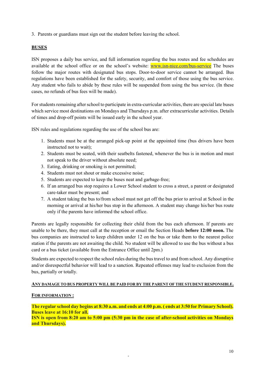3. Parents or guardians must sign out the student before leaving the school.

## **BUSES**

ISN proposes a daily bus service, and full information regarding the bus routes and fee schedules are available at the school office or on the school's website: [www.isn-nice.com/bus-service](http://www.isn-nice.com/bus-service) The buses follow the major routes with designated bus stops. Door-to-door service cannot be arranged. Bus regulations have been established for the safety, security, and comfort of those using the bus service. Any student who fails to abide by these rules will be suspended from using the bus service. (In these cases, no refunds of bus fees will be made).

For students remaining after school to participate in extra-curricular activities, there are special late buses which service most destinations on Mondays and Thursdays p.m. after extracurricular activities. Details of times and drop-off points will be issued early in the school year.

ISN rules and regulations regarding the use of the school bus are:

- 1. Students must be at the arranged pick-up point at the appointed time (bus drivers have been instructed not to wait);
- 2. Students must be seated, with their seatbelts fastened, whenever the bus is in motion and must not speak to the driver without absolute need;
- 3. Eating, drinking or smoking is not permitted;
- 4. Students must not shout or make excessive noise;
- 5. Students are expected to keep the buses neat and garbage-free;
- 6. If an arranged bus stop requires a Lower School student to cross a street, a parent or designated care-taker must be present; and
- 7. A student taking the bus to/from school must not get off the bus prior to arrival at School in the morning or arrival at his/her bus stop in the afternoon. A student may change his/her bus route only if the parents have informed the school office.

Parents are legally responsible for collecting their child from the bus each afternoon. If parents are unable to be there, they must call at the reception or email the Section Heads **before 12:00 noon.** The bus companies are instructed to keep children under 12 on the bus or take them to the nearest police station if the parents are not awaiting the child. No student will be allowed to use the bus without a bus card or a bus ticket (available from the Entrance Office until 2pm.)

Students are expected to respect the school rules during the bus travel to and from school. Any disruptive and/or disrespectful behavior will lead to a sanction. Repeated offenses may lead to exclusion from the bus, partially or totally.

## **ANY DAMAGE TO BUS PROPERTY WILL BE PAID FOR BY THE PARENT OF THE STUDENT RESPONSIBLE.**

## **FOR INFORMATION :**

**The regular school day begins at 8:30 a.m. and ends at 4:00 p.m. ( ends at 3:50 for Primary School). Buses leave at 16:10 for all.**

**ISN is open from 8:20 am to 5:00 pm (5:30 pm in the case of after-school activities on Mondays and Thursdays).**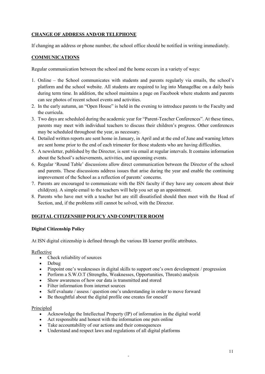## **CHANGE OF ADDRESS AND/OR TELEPHONE**

If changing an address or phone number, the school office should be notified in writing immediately.

## **COMMUNICATIONS**

Regular communication between the school and the home occurs in a variety of ways:

- 1. Online the School communicates with students and parents regularly via emails, the school's platform and the school website. All students are required to log into ManageBac on a daily basis during term time. In addition, the school maintains a page on Facebook where students and parents can see photos of recent school events and activities.
- 2. In the early autumn, an "Open House" is held in the evening to introduce parents to the Faculty and the curricula.
- 3. Two days are scheduled during the academic year for "Parent-Teacher Conferences". At these times, parents may meet with individual teachers to discuss their children's progress. Other conferences may be scheduled throughout the year, as necessary.
- 4. Detailed written reports are sent home in January, in April and at the end of June and warning letters are sent home prior to the end of each trimester for those students who are having difficulties.
- 5. A newsletter, published by the Director, is sent via email at regular intervals. It contains information about the School's achievements, activities, and upcoming events.
- 6. Regular 'Round Table' discussions allow direct communication between the Director of the school and parents. These discussions address issues that arise during the year and enable the continuing improvement of the School as a reflection of parents' concerns.
- 7. Parents are encouraged to communicate with the ISN faculty if they have any concern about their child(ren). A simple email to the teachers will help you set up an appointment.
- 8. Parents who have met with a teacher but are still dissatisfied should then meet with the Head of Section, and, if the problems still cannot be solved, with the Director.

## **DIGITAL CITIZENSHIP POLICY AND COMPUTER ROOM**

## **Digital Citizenship Policy**

At ISN digital citizenship is defined through the various IB learner profile attributes.

## Reflective

- Check reliability of sources
- Debug
- Pinpoint one's weaknesses in digital skills to support one's own development / progression
- Perform a S.W.O.T (Strengths, Weaknesses, Opportunities, Threats) analysis
- Show awareness of how our data is transmitted and stored
- Filter information from internet sources
- Self evaluate / assess / question one's understanding in order to move forward
- Be thoughtful about the digital profile one creates for oneself

#### Principled

• Acknowledge the Intellectual Property (IP) of information in the digital world

- Act responsible and honest with the information one puts online
- Take accountability of our actions and their consequences
- Understand and respect laws and regulations of all digital platforms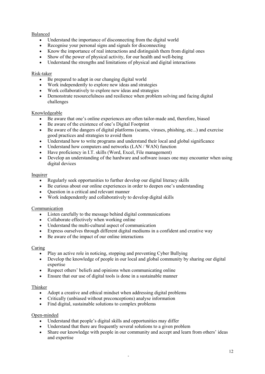## Balanced

- Understand the importance of disconnecting from the digital world
- Recognise your personal signs and signals for disconnecting
- Know the importance of real interactions and distinguish them from digital ones
- Show of the power of physical activity, for our health and well-being
- Understand the strengths and limitations of physical and digital interactions

## Risk-taker

- Be prepared to adapt in our changing digital world
- Work independently to explore new ideas and strategies
- Work collaboratively to explore new ideas and strategies
- Demonstrate resourcefulness and resilience when problem solving and facing digital challenges

#### Knowledgeable

- Be aware that one's online experiences are often tailor-made and, therefore, biased
- Be aware of the existence of one's Digital Footprint
- Be aware of the dangers of digital platforms (scams, viruses, phishing, etc...) and exercise good practices and strategies to avoid them
- Understand how to write programs and understand their local and global significance
- Understand how computers and networks (LAN / WAN) function
- Have proficiency in I.T. skills (Word, Excel, File management)
- Develop an understanding of the hardware and software issues one may encounter when using digital devices

#### Inquirer

- Regularly seek opportunities to further develop our digital literacy skills
- Be curious about our online experiences in order to deepen one's understanding
- Question in a critical and relevant manner
- Work independently and collaboratively to develop digital skills

#### Communication

- Listen carefully to the message behind digital communications
- Collaborate effectively when working online
- Understand the multi-cultural aspect of communication
- Express ourselves through different digital mediums in a confident and creative way
- Be aware of the impact of our online interactions

#### Caring

- Play an active role in noticing, stopping and preventing Cyber Bullying
- Develop the knowledge of people in our local and global community by sharing our digital expertise
- Respect others' beliefs and opinions when communicating online
- Ensure that our use of digital tools is done in a sustainable manner

#### Thinker

- Adopt a creative and ethical mindset when addressing digital problems
- Critically (unbiased without preconceptions) analyse information
- Find digital, sustainable solutions to complex problems

## Open-minded

- Understand that people's digital skills and opportunities may differ
- Understand that there are frequently several solutions to a given problem
- Share our knowledge with people in our community and accept and learn from others' ideas and expertise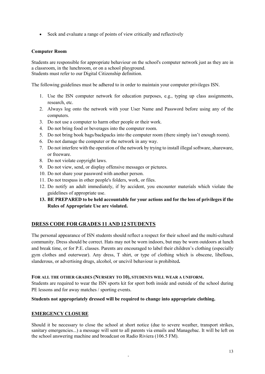• Seek and evaluate a range of points of view critically and reflectively

#### **Computer Room**

Students are responsible for appropriate behaviour on the school's computer network just as they are in a classroom, in the lunchroom, or on a school playground. Students must refer to our Digital Citizenship definition.

The following guidelines must be adhered to in order to maintain your computer privileges ISN.

- 1. Use the ISN computer network for education purposes, e.g., typing up class assignments, research, etc.
- 2. Always log onto the network with your User Name and Password before using any of the computers.
- 3. Do not use a computer to harm other people or their work.
- 4. Do not bring food or beverages into the computer room.
- 5. Do not bring book bags/backpacks into the computer room (there simply isn't enough room).
- 6. Do not damage the computer or the network in any way.
- 7. Do not interfere with the operation of the network by trying to install illegal software, shareware, or freeware.
- 8. Do not violate copyright laws.
- 9. Do not view, send, or display offensive messages or pictures.
- 10. Do not share your password with another person.
- 11. Do not trespass in other people's folders, work, or files.
- 12. Do notify an adult immediately, if by accident, you encounter materials which violate the guidelines of appropriate use.
- **13. BE PREPARED to be held accountable for your actions and for the loss of privileges if the Rules of Appropriate Use are violated.**

## **DRESS CODE FOR GRADES 11 AND 12 STUDENTS**

The personal appearance of ISN students should reflect a respect for their school and the multi-cultural community. Dress should be correct. Hats may not be worn indoors, but may be worn outdoors at lunch and break time, or for P.E. classes. Parents are encouraged to label their children's clothing (especially gym clothes and outerwear). Any dress, T shirt, or type of clothing which is obscene, libellous, slanderous, or advertising drugs, alcohol, or uncivil behaviour is prohibited**.** 

#### **FOR ALL THE OTHER GRADES (NURSERY TO 10), STUDENTS WILL WEAR A UNIFORM.**

Students are required to wear the ISN sports kit for sport both inside and outside of the school during PE lessons and for away matches / sporting events.

#### **Students not appropriately dressed will be required to change into appropriate clothing.**

#### **EMERGENCY CLOSURE**

Should it be necessary to close the school at short notice (due to severe weather, transport strikes, sanitary emergencies...) a message will sent to all parents via emails and Managebac. It will be left on the school answering machine and broadcast on Radio Riviera (106.5 FM).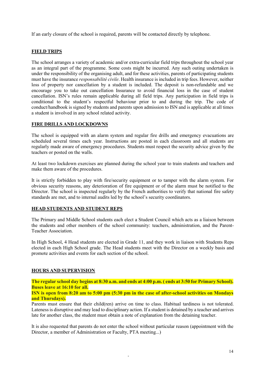If an early closure of the school is required, parents will be contacted directly by telephone.

## **FIELD TRIPS**

The school arranges a variety of academic and/or extra-curricular field trips throughout the school year as an integral part of the programme. Some costs might be incurred. Any such outing undertaken is under the responsibility of the organising adult, and for these activities, parents of participating students must have the insurance *responsabilité civile*. Health insurance is included in trip fees. However, neither loss of property nor cancellation by a student is included. The deposit is non-refundable and we encourage you to take out cancellation Insurance to avoid financial loss in the case of student cancellation. ISN's rules remain applicable during all field trips. Any participation in field trips is conditional to the student's respectful behaviour prior to and during the trip. The code of conduct/handbook is signed by students and parents upon admission to ISN and is applicable at all times a student is involved in any school related activity.

## **FIRE DRILLS AND LOCKDOWNS**

The school is equipped with an alarm system and regular fire drills and emergency evacuations are scheduled several times each year. Instructions are posted in each classroom and all students are regularly made aware of emergency procedures. Students must respect the security advice given by the teachers or posted on the walls.

At least two lockdown exercises are planned during the school year to train students and teachers and make them aware of the procedures.

It is strictly forbidden to play with fire/security equipment or to tamper with the alarm system. For obvious security reasons, any deterioration of fire equipment or of the alarm must be notified to the Director. The school is inspected regularly by the French authorities to verify that national fire safety standards are met, and to internal audits led by the school's security coordinators.

#### **HEAD STUDENTS AND STUDENT REPS**

The Primary and Middle School students each elect a Student Council which acts as a liaison between the students and other members of the school community: teachers, administration, and the Parent-Teacher Association.

In High School, 4 Head students are elected in Grade 11, and they work in liaison with Students Reps elected in each High School grade. The Head students meet with the Director on a weekly basis and promote activities and events for each section of the school.

#### **HOURS AND SUPERVISION**

**The regular school day begins at 8:30 a.m. and ends at 4:00 p.m. ( ends at 3:50 for Primary School). Buses leave at 16:10 for all.**

**ISN is open from 8:20 am to 5:00 pm (5:30 pm in the case of after-school activities on Mondays and Thursdays).**

Parents must ensure that their child(ren) arrive on time to class. Habitual tardiness is not tolerated. Lateness is disruptive and may lead to disciplinary action. If a student is detained by a teacher and arrives late for another class, the student must obtain a note of explanation from the detaining teacher.

It is also requested that parents do not enter the school without particular reason (appointment with the Director, a member of Administration or Faculty, PTA meeting...)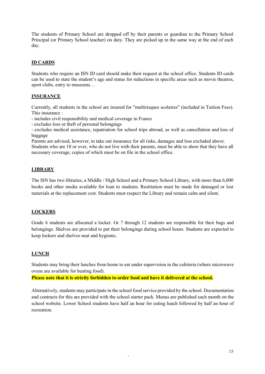The students of Primary School are dropped off by their parents or guardian to the Primary School Principal (or Primary School teacher) on duty. They are picked up in the same way at the end of each day.

## **ID CARDS**

Students who require an ISN ID card should make their request at the school office. Students ID cards can be used to state the student's age and status for reductions in specific areas such as movie theatres, sport clubs, entry to museums…

## **INSURANCE**

Currently, all students in the school are insured for "multirisques scolaires" (included in Tuition Fees). This insurance :

- includes civil responsibility and medical coverage in France

- excludes loss or theft of personal belongings

- excludes medical assistance, repatriation for school trips abroad, as well as cancellation and loss of baggage

Parents are advised, however, to take out insurance for all risks, damages and loss excluded above.

Students who are 18 or over, who do not live with their parents, must be able to show that they have all necessary coverage, copies of which must be on file in the school office.

## **LIBRARY**

The ISN has two libraries, a Middle / High School and a Primary School Library, with more than 6,000 books and other media available for loan to students. Restitution must be made for damaged or lost materials at the replacement cost. Students must respect the Library and remain calm and silent.

## **LOCKERS**

Grade 6 students are allocated a locker. Gr 7 through 12 students are responsible for their bags and belongings. Shelves are provided to put their belongings during school hours. Students are expected to keep lockers and shelves neat and hygienic.

## **LUNCH**

Students may bring their lunches from home to eat under supervision in the cafeteria (where microwave ovens are available for heating food).

**Please note that it is strictly forbidden to order food and have it delivered at the school.** 

Alternatively, students may participate in the school food service provided by the school. Documentation and contracts for this are provided with the school starter pack. Menus are published each month on the school website. Lower School students have half an hour for eating lunch followed by half an hour of recreation.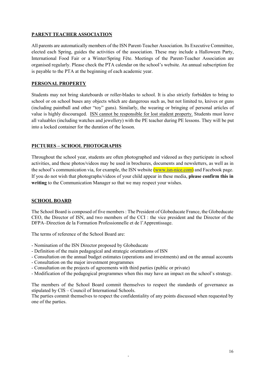## **PARENT TEACHER ASSOCIATION**

All parents are automatically members of the ISN Parent-Teacher Association. Its Executive Committee, elected each Spring, guides the activities of the association. These may include a Halloween Party, International Food Fair or a Winter/Spring Fête. Meetings of the Parent-Teacher Association are organised regularly. Please check the PTA calendar on the school's website. An annual subscription fee is payable to the PTA at the beginning of each academic year.

## **PERSONAL PROPERTY**

Students may not bring skateboards or roller-blades to school. It is also strictly forbidden to bring to school or on school buses any objects which are dangerous such as, but not limited to, knives or guns (including paintball and other "toy" guns). Similarly, the wearing or bringing of personal articles of value is highly discouraged. ISN cannot be responsible for lost student property. Students must leave all valuables (including watches and jewellery) with the PE teacher during PE lessons. They will be put into a locked container for the duration of the lesson.

## **PICTURES – SCHOOL PHOTOGRAPHS**

Throughout the school year, students are often photographed and videoed as they participate in school activities, and these photos/videos may be used in brochures, documents and newsletters, as well as in the school's communication via, for example, the ISN website [\(www.isn-nice.com\)](http://www.isn-nice.com/) and Facebook page. If you do not wish that photographs/videos of your child appear in these media, **please confirm this in writing** to the Communication Manager so that we may respect your wishes.

## **SCHOOL BOARD**

The School Board is composed of five members : The President of Globeducate France, the Globeducate CEO, the Director of ISN, and two members of the CCI : the vice president and the Director of the DFPA–Direction de la Formation Professionnelle et de l'Apprentissage.

The terms of reference of the School Board are:

- Nomination of the ISN Director proposed by Globeducate
- Definition of the main pedagogical and strategic orientations of ISN
- Consultation on the annual budget estimates (operations and investments) and on the annual accounts
- Consultation on the major investment programmes
- Consultation on the projects of agreements with third parties (public or private)
- Modification of the pedagogical programmes when this may have an impact on the school's strategy.

The members of the School Board commit themselves to respect the standards of governance as stipulated by CIS – Council of International Schools.

The parties commit themselves to respect the confidentiality of any points discussed when requested by one of the parties.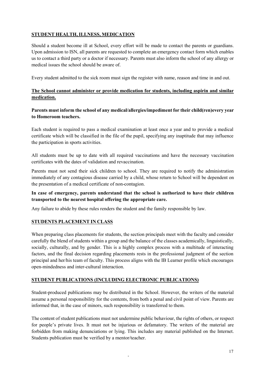## **STUDENT HEALTH, ILLNESS, MEDICATION**

Should a student become ill at School, every effort will be made to contact the parents or guardians. Upon admission to ISN, all parents are requested to complete an emergency contact form which enables us to contact a third party or a doctor if necessary. Parents must also inform the school of any allergy or medical issues the school should be aware of.

Every student admitted to the sick room must sign the register with name, reason and time in and out.

## **The School cannot administer or provide medication for students, including aspirin and similar medication.**

## **Parents must inform the school of any medical/allergies/impediment for their child(ren)every year to Homeroom teachers.**

Each student is required to pass a medical examination at least once a year and to provide a medical certificate which will be classified in the file of the pupil, specifying any inaptitude that may influence the participation in sports activities.

All students must be up to date with all required vaccinations and have the necessary vaccination certificates with the dates of validation and revaccination.

Parents must not send their sick children to school. They are required to notify the administration immediately of any contagious disease carried by a child, whose return to School will be dependent on the presentation of a medical certificate of non-contagion.

## **In case of emergency, parents understand that the school is authorized to have their children transported to the nearest hospital offering the appropriate care.**

Any failure to abide by these rules renders the student and the family responsible by law.

## **STUDENTS PLACEMENT IN CLASS**

When preparing class placements for students, the section principals meet with the faculty and consider carefully the blend of students within a group and the balance of the classes academically, linguistically, socially, culturally, and by gender. This is a highly complex process with a multitude of interacting factors, and the final decision regarding placements rests in the professional judgment of the section principal and her/his team of faculty. This process aligns with the IB Learner profile which encourages open-mindedness and inter-cultural interaction.

## **STUDENT PUBLICATIONS (INCLUDING ELECTRONIC PUBLICATIONS)**

Student-produced publications may be distributed in the School. However, the writers of the material assume a personal responsibility for the contents, from both a penal and civil point of view. Parents are informed that, in the case of minors, such responsibility is transferred to them.

The content of student publications must not undermine public behaviour, the rights of others, or respect for people's private lives. It must not be injurious or defamatory. The writers of the material are forbidden from making denunciations or lying. This includes any material published on the Internet. Students publication must be verified by a mentor/teacher.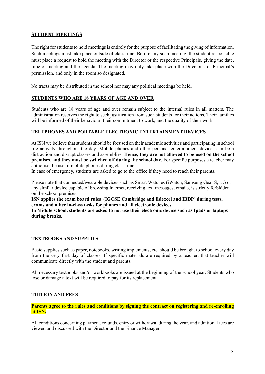## **STUDENT MEETINGS**

The right for students to hold meetings is entirely for the purpose of facilitating the giving of information. Such meetings must take place outside of class time. Before any such meeting, the student responsible must place a request to hold the meeting with the Director or the respective Principals, giving the date, time of meeting and the agenda. The meeting may only take place with the Director's or Principal's permission, and only in the room so designated.

No tracts may be distributed in the school nor may any political meetings be held.

## **STUDENTS WHO ARE 18 YEARS OF AGE AND OVER**

Students who are 18 years of age and over remain subject to the internal rules in all matters. The administration reserves the right to seek justification from such students for their actions. Their families will be informed of their behaviour, their commitment to work, and the quality of their work.

## **TELEPHONES AND PORTABLE ELECTRONIC ENTERTAINMENT DEVICES**

At ISN we believe that students should be focused on their academic activities and participating in school life actively throughout the day. Mobile phones and other personal entertainment devices can be a distraction and disrupt classes and assemblies. **Hence, they are not allowed to be used on the school premises, and they must be switched off during the school day.** For specific purposes a teacher may authorise the use of mobile phones during class time.

In case of emergency, students are asked to go to the office if they need to reach their parents.

Please note that connected/wearable devices such as Smart Watches (iWatch, Samsung Gear S, …) or any similar device capable of browsing internet, receiving text messages, emails, is strictly forbidden on the school premises.

**ISN applies the exam board rules (IGCSE Cambridge and Edexcel and IBDP) during tests, exams and other in-class tasks for phones and all electronic devices.**

**In Middle school, students are asked to not use their electronic device such as Ipads or laptops during breaks.**

## **TEXTBOOKS AND SUPPLIES**

Basic supplies such as paper, notebooks, writing implements, etc. should be brought to school every day from the very first day of classes. If specific materials are required by a teacher, that teacher will communicate directly with the student and parents.

All necessary textbooks and/or workbooks are issued at the beginning of the school year. Students who lose or damage a text will be required to pay for its replacement.

## **TUITION AND FEES**

**Parents agree to the rules and conditions by signing the contract on registering and re-enrolling at ISN.**

All conditions concerning payment, refunds, entry or withdrawal during the year, and additional fees are viewed and discussed with the Director and the Finance Manager.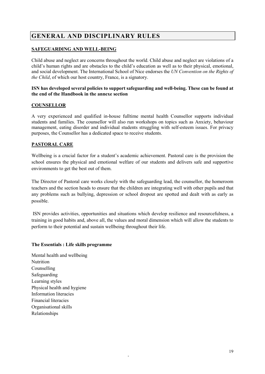# **GENERAL AND DISCIPLINARY RULES**

## **SAFEGUARDING AND WELL-BEING**

Child abuse and neglect are concerns throughout the world. Child abuse and neglect are violations of a child's human rights and are obstacles to the child's education as well as to their physical, emotional, and social development. The International School of Nice endorses the *UN Convention on the Rights of the Child*, of which our host country, France, is a signatory.

#### **ISN has developed several policies to support safeguarding and well-being. These can be found at the end of the Handbook in the annexe section**

## **COUNSELLOR**

A very experienced and qualified in-house fulltime mental health Counsellor supports individual students and families. The counsellor will also run workshops on topics such as Anxiety, behaviour management, eating disorder and individual students struggling with self-esteem issues. For privacy purposes, the Counsellor has a dedicated space to receive students.

## **PASTORAL CARE**

Wellbeing is a crucial factor for a student's academic achievement. Pastoral care is the provision the school ensures the physical and emotional welfare of our students and delivers safe and supportive environments to get the best out of them.

The Director of Pastoral care works closely with the safeguarding lead, the counsellor, the homeroom teachers and the section heads to ensure that the children are integrating well with other pupils and that any problems such as bullying, depression or school dropout are spotted and dealt with as early as possible.

ISN provides activities, opportunities and situations which develop resilience and resourcefulness, a training in good habits and, above all, the values and moral dimension which will allow the students to perform to their potential and sustain wellbeing throughout their life.

-

## **The Essentials : Life skills programme**

Mental health and wellbeing Nutrition Counselling Safeguarding Learning styles Physical health and hygiene Information literacies Financial literacies Organisational skills Relationships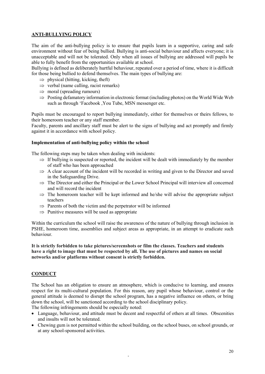## **ANTI-BULLYING POLICY**

The aim of the anti-bullying policy is to ensure that pupils learn in a supportive, caring and safe environment without fear of being bullied. Bullying is anti-social behaviour and affects everyone; it is unacceptable and will not be tolerated. Only when all issues of bullying are addressed will pupils be able to fully benefit from the opportunities available at school.

Bullying is defined as deliberately hurtful behaviour, repeated over a period of time, where it is difficult for those being bullied to defend themselves. The main types of bullying are:

- $\Rightarrow$  physical (hitting, kicking, theft)
- $\Rightarrow$  verbal (name calling, racist remarks)
- $\Rightarrow$  moral (spreading rumours)
- $\Rightarrow$  Posting defamatory information in electronic format (including photos) on the World Wide Web such as through 'Facebook ,You Tube, MSN messenger etc.

Pupils must be encouraged to report bullying immediately, either for themselves or theirs fellows, to their homeroom teacher or any staff member.

Faculty, parents and ancillary staff must be alert to the signs of bullying and act promptly and firmly against it in accordance with school policy.

#### **Implementation of anti-bullying policy within the school**

The following steps may be taken when dealing with incidents:

- $\Rightarrow$  If bullying is suspected or reported, the incident will be dealt with immediately by the member of staff who has been approached
- ⇒ A clear account of the incident will be recorded in writing and given to the Director and saved in the Safeguarding Drive.
- ⇒ The Director and either the Principal or the Lower School Principal will interview all concerned and will record the incident
- $\Rightarrow$  The homeroom teacher will be kept informed and he/she will advise the appropriate subject teachers
- $\Rightarrow$  Parents of both the victim and the perpetrator will be informed
- $\Rightarrow$  Punitive measures will be used as appropriate

Within the curriculum the school will raise the awareness of the nature of bullying through inclusion in PSHE, homeroom time, assemblies and subject areas as appropriate, in an attempt to eradicate such behaviour.

#### **It is strictly forbidden to take pictures/screenshots or film the classes. Teachers and students have a right to image that must be respected by all. The use of pictures and names on social networks and/or platforms without consent is strictly forbidden.**

## **CONDUCT**

The School has an obligation to ensure an atmosphere, which is conducive to learning, and ensures respect for its multi-cultural population. For this reason, any pupil whose behaviour, control or the general attitude is deemed to disrupt the school program, has a negative influence on others, or bring down the school, will be sanctioned according to the school disciplinary policy.

The following infringements should be especially noted:

- Language, behaviour, and attitude must be decent and respectful of others at all times. Obscenities and insults will not be tolerated.
- Chewing gum is not permitted within the school building, on the school buses, on school grounds, or at any school-sponsored activities.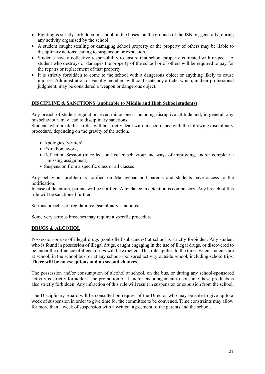- Fighting is strictly forbidden in school, in the buses, on the grounds of the ISN or, generally, during any activity organised by the school.
- A student caught stealing or damaging school property or the property of others may be liable to disciplinary actions leading to suspension or expulsion.
- Students have a collective responsibility to ensure that school property is treated with respect. A student who destroys or damages the property of the school or of others will be required to pay for the repairs or replacement of that property.
- It is strictly forbidden to come to the school with a dangerous object or anything likely to cause injuries. Administration or Faculty members will confiscate any article, which, in their professional judgment, may be considered a weapon or dangerous object.

#### **DISCIPLINE & SANCTIONS (applicable to Middle and High School students)**

Any breach of student regulation, even minor ones, including disruptive attitude and, in general, any misbehaviour, may lead to disciplinary sanctions.

Students who break these rules will be strictly dealt with in accordance with the following disciplinary procedure, depending on the gravity of the action,

- Apologies (written)
- Extra homework,
- Reflection Session (to reflect on his/her behaviour and ways of improving, and/or complete a missing assignment)
- Suspension from a specific class or all classes

Any behaviour problem is notified on Managebac and parents and students have access to the notification.

In case of detention, parents will be notified. Attendance in detention is compulsory. Any breach of this rule will be sanctioned further.

#### Serious breaches of regulations/Disciplinary sanctions:

Some very serious breaches may require a specific procedure.

## **DRUGS & ALCOHOL**

Possession or use of illegal drugs (controlled substances) at school is strictly forbidden. Any student who is found in possession of illegal drugs, caught engaging in the use of illegal drugs, or discovered to be under the influence of illegal drugs will be expelled. This rule applies to the times when students are at school, in the school bus, or at any school-sponsored activity outside school, including school trips. **There will be no exceptions and no second chances**.

The possession and/or consumption of alcohol at school, on the bus, or during any school-sponsored activity is strictly forbidden. The promotion of it and/or encouragement to consume these products is also strictly forbidden. Any infraction of this rule will result in suspension or expulsion from the school.

The Disciplinary Board will be consulted on request of the Director who may be able to give up to a week of suspension in order to give time for the committee to be convened. Time constraints may allow for more than a week of suspension with a written agreement of the parents and the school.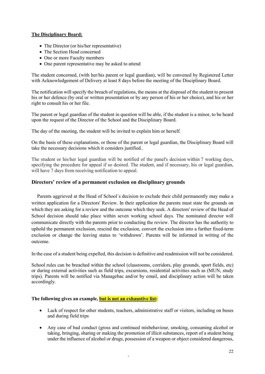## **The Disciplinary Board:**

- The Director (or his/her representative)
- The Section Head concerned
- One or more Faculty members
- One parent representative may be asked to attend

The student concerned, (with her/his parent or legal guardian), will be convened by Registered Letter with Acknowledgement of Delivery at least 8 days before the meeting of the Disciplinary Board.

The notification will specify the breach of regulations, the means at the disposal of the student to present his or her defence (by oral or written presentation or by any person of his or her choice), and his or her right to consult his or her file.

The parent or legal guardian of the student in question will be able, if the student is a minor, to be heard upon the request of the Director of the School and the Disciplinary Board.

The day of the meeting, the student will be invited to explain him or herself.

On the basis of these explanations, or those of the parent or legal guardian, the Disciplinary Board will take the necessary decisions which it considers justified..

The student or his/her legal guardian will be notified of the panel's decision within 7 working days, specifying the procedure for appeal if so desired. The student, and if necessary, his or legal guardian, will have 7 days from receiving notification to appeal.

## **Directors' review of a permanent exclusion on disciplinary grounds**

 Parents aggrieved at the Head of School´s decision to exclude their child permanently may make a written application for a Directors' Review. In their application the parents must state the grounds on which they are asking for a review and the outcome which they seek. A directors' review of the Head of School decision should take place within seven working school days. The nominated director will communicate directly with the parents prior to conducting the review. The director has the authority to uphold the permanent exclusion, rescind the exclusion, convert the exclusion into a further fixed-term exclusion or change the leaving status to 'withdrawn'. Parents will be informed in writing of the outcome.

In the case of a student being expelled, this decision is definitive and readmission will not be considered.

School rules can be breached within the school (classrooms, corridors, play grounds, sport fields, etc) or during external activities such as field trips, excursions, residential activities such as (MUN, study trips). Parents will be notified via Managebac and/or by email, and disciplinary action will be taken accordingly.

## **The following gives an example, but is not an exhaustive list:**

- Lack of respect for other students, teachers, administrative staff or visitors, including on buses and during field trips
- Any case of bad conduct (gross and continued misbehaviour, smoking, consuming alcohol or taking, bringing, sharing or making the promotion of illicit substances, report of a student being under the influence of alcohol or drugs, possession of a weapon or object considered dangerous,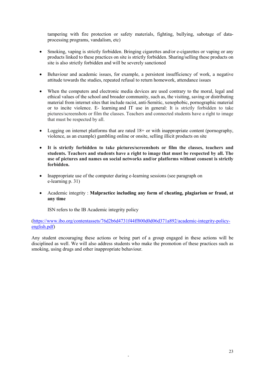tampering with fire protection or safety materials, fighting, bullying, sabotage of dataprocessing programs, vandalism, etc)

- Smoking, vaping is strictly forbidden. Bringing cigarettes and/or e-cigarettes or vaping or any products linked to these practices on site is strictly forbidden. Sharing/selling these products on site is also strictly forbidden and will be severely sanctioned
- Behaviour and academic issues, for example, a persistent insufficiency of work, a negative attitude towards the studies, repeated refusal to return homework, attendance issues
- When the computers and electronic media devices are used contrary to the moral, legal and ethical values of the school and broader community, such as, the visiting, saving or distributing material from internet sites that include racist, anti-Semitic, xenophobic, pornographic material or to incite violence. E- learning and IT use in general: It is strictly forbidden to take pictures/screenshots or film the classes. Teachers and connected students have a right to image that must be respected by all.
- Logging on internet platforms that are rated 18+ or with inappropriate content (pornography, violence, as an example) gambling online or onsite, selling illicit products on site
- **It is strictly forbidden to take pictures/screenshots or film the classes, teachers and students. Teachers and students have a right to image that must be respected by all. The use of pictures and names on social networks and/or platforms without consent is strictly forbidden.**
- Inappropriate use of the computer during e-learning sessions (see paragraph on e-learning p. 31)
- Academic integrity : **Malpractice including any form of cheating, plagiarism or fraud, at any time**

ISN refers to the IB Academic integrity policy

[\(https://www.ibo.org/contentassets/76d2b6d4731f44ff800d0d06d371a892/academic-integrity-policy](https://www.ibo.org/contentassets/76d2b6d4731f44ff800d0d06d371a892/academic-integrity-policy-english.pdf)[english.pdf\)](https://www.ibo.org/contentassets/76d2b6d4731f44ff800d0d06d371a892/academic-integrity-policy-english.pdf)

Any student encouraging these actions or being part of a group engaged in these actions will be disciplined as well. We will also address students who make the promotion of these practices such as smoking, using drugs and other inappropriate behaviour.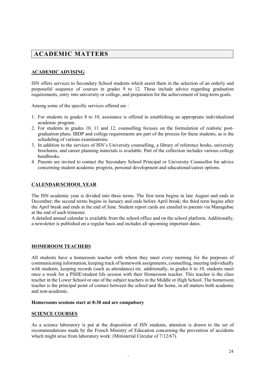# **ACADEMIC MATTERS**

## **ACADEMIC ADVISING**

ISN offers services to Secondary School students which assist them in the selection of an orderly and purposeful sequence of courses in grades 9 to 12. These include advice regarding graduation requirements, entry into university or college, and preparation for the achievement of long-term goals.

Among some of the specific services offered are :

- 1. For students in grades 8 to 10, assistance is offered in establishing an appropriate individualized academic program.
- 2. For students in grades 10, 11 and 12, counselling focuses on the formulation of realistic postgraduation plans. IBDP and college requirements are part of the process for these students, as is the scheduling of various examinations.
- 3. In addition to the services of ISN's University counselling, a library of reference books, university brochures, and career planning materials is available. Part of the collection includes various college handbooks.
- 4. Parents are invited to contact the Secondary School Principal or University Counsellor for advice concerning student academic progress, personal development and educational/career options.

#### **CALENDAR/SCHOOL YEAR**

The ISN academic year is divided into three terms. The first term begins in late August and ends in December; the second terms begins in January and ends before April break; the third term begins after the April break and ends at the end of June. Student report cards are emailed to parents via Managebac at the end of each trimester.

A detailed annual calendar is available from the school office and on the school platform. Additionally, a newsletter is published on a regular basis and includes all upcoming important dates.

#### **HOMEROOM TEACHERS**

All students have a homeroom teacher with whom they meet every morning for the purposes of communicating information, keeping track of homework assignments, counselling, meeting individually with students, keeping records (such as attendance) etc. additionally, in grades 6 to 10, students meet once a week for a PSHE/student life session with their Homeroom teacher. This teacher is the class teacher in the Lower School or one of the subject teachers in the Middle or High School. The homeroom teacher is the principal point of contact between the school and the home, in all matters both academic and non-academic.

#### **Homerooms sessions start at 8:30 and are compulsory**

#### **SCIENCE COURSES**

As a science laboratory is put at the disposition of ISN students, attention is drawn to the set of recommendations made by the French Ministry of Education concerning the prevention of accidents which might arise from laboratory work: (Ministerial Circular of 7/12/67).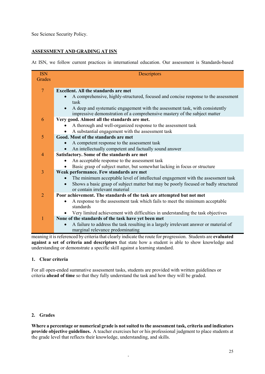See Science Security Policy.

## **ASSESSMENT AND GRADING AT ISN**

At ISN, we follow current practices in international education. Our assessment is Standards-based

| <b>ISN</b>     | Descriptors                                                                                   |  |  |  |
|----------------|-----------------------------------------------------------------------------------------------|--|--|--|
| Grades         |                                                                                               |  |  |  |
|                |                                                                                               |  |  |  |
| $\overline{7}$ | <b>Excellent. All the standards are met</b>                                                   |  |  |  |
|                | A comprehensive, highly-structured, focused and concise response to the assessment<br>task    |  |  |  |
|                | A deep and systematic engagement with the assessment task, with consistently<br>$\bullet$     |  |  |  |
|                | impressive demonstration of a comprehensive mastery of the subject matter                     |  |  |  |
| 6              | Very good. Almost all the standards are met.                                                  |  |  |  |
|                | A thorough and well-organized response to the assessment task                                 |  |  |  |
|                | A substantial engagement with the assessment task                                             |  |  |  |
| 5              | Good. Most of the standards are met                                                           |  |  |  |
|                | A competent response to the assessment task                                                   |  |  |  |
|                | An intellectually competent and factually sound answer                                        |  |  |  |
| $\overline{4}$ | Satisfactory. Some of the standards are met                                                   |  |  |  |
|                | An acceptable response to the assessment task                                                 |  |  |  |
|                | Basic grasp of subject matter, but somewhat lacking in focus or structure                     |  |  |  |
| 3              | Weak performance. Few standards are met                                                       |  |  |  |
|                | The minimum acceptable level of intellectual engagement with the assessment task<br>$\bullet$ |  |  |  |
|                | Shows a basic grasp of subject matter but may be poorly focused or badly structured           |  |  |  |
|                | or contain irrelevant material                                                                |  |  |  |
| $\overline{2}$ | Poor achievement. The standards of the task are attempted but not met                         |  |  |  |
|                | A response to the assessment task which fails to meet the minimum acceptable<br>٠             |  |  |  |
|                | standards                                                                                     |  |  |  |
|                | Very limited achievement with difficulties in understanding the task objectives               |  |  |  |
| 1              | None of the standards of the task have yet been met                                           |  |  |  |
|                | A failure to address the task resulting in a largely irrelevant answer or material of         |  |  |  |
|                | marginal relevance predominating                                                              |  |  |  |

meaning it is referenced by criteria that clearly indicate the route for progression. Students are **evaluated against a set of criteria and descriptors** that state how a student is able to show knowledge and understanding or demonstrate a specific skill against a learning standard.

## **1. Clear criteria**

For all open-ended summative assessment tasks, students are provided with written guidelines or criteria **ahead of time** so that they fully understand the task and how they will be graded.

#### **2. Grades**

**Where a percentage or numerical grade is not suited to the assessment task, criteria and indicators provide objective guidelines.** A teacher exercises her or his professional judgment to place students at the grade level that reflects their knowledge, understanding, and skills.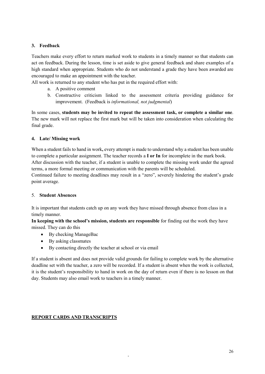## **3. Feedback**

Teachers make every effort to return marked work to students in a timely manner so that students can act on feedback. During the lesson, time is set aside to give general feedback and share examples of a high standard when appropriate. Students who do not understand a grade they have been awarded are encouraged to make an appointment with the teacher.

All work is returned to any student who has put in the required effort with:

- a. A positive comment
- b. Constructive criticism linked to the assessment criteria providing guidance for improvement. (Feedback is *informational, not judgmental*)

In some cases, **students may be invited to repeat the assessment task, or complete a similar one**. The new mark will not replace the first mark but will be taken into consideration when calculating the final grade.

## **4. Late/ Missing work**

When a student fails to hand in work**,** every attempt is made to understand why a student has been unable to complete a particular assignment. The teacher records a **I or In** for incomplete in the mark book. After discussion with the teacher, if a student is unable to complete the missing work under the agreed terms, a more formal meeting or communication with the parents will be scheduled.

Continued failure to meeting deadlines may result in a "zero", severely hindering the student's grade point average.

## 5. **Student Absences**

It is important that students catch up on any work they have missed through absence from class in a timely manner.

**In keeping with the school's mission, students are responsible** for finding out the work they have missed. They can do this

- By checking ManageBac
- By asking classmates
- By contacting directly the teacher at school or via email

If a student is absent and does not provide valid grounds for failing to complete work by the alternative deadline set with the teacher, a zero will be recorded. If a student is absent when the work is collected, it is the student's responsibility to hand in work on the day of return even if there is no lesson on that day. Students may also email work to teachers in a timely manner.

-

## **REPORT CARDS AND TRANSCRIPTS**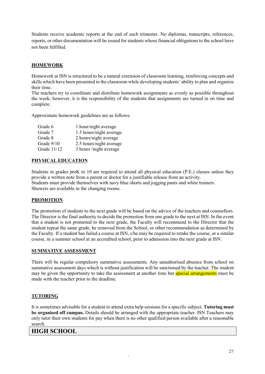Students receive academic reports at the end of each trimester. No diplomas, transcripts, references, reports, or other documentation will be issued for students whose financial obligations to the school have not been fulfilled.

## **HOMEWORK**

Homework at ISN is structured to be a natural extension of classroom learning, reinforcing concepts and skills which have been presented in the classroom while developing students' ability to plan and organize their time.

The teachers try to coordinate and distribute homework assignments as evenly as possible throughout the week; however, it is the responsibility of the students that assignments are turned in on time and complete.

Approximate homework guidelines are as follows:

| Grade 6       | 1 hour/night average    |
|---------------|-------------------------|
| Grade 7       | 1.5 hours/night average |
| Grade 8       | 2 hours/night average   |
| Grade 9/10    | 2.5 hours/night average |
| Grade $11/12$ | 3 hours /night average  |

## **PHYSICAL EDUCATION**

Students in grades preK to 10 are required to attend all physical education (P.E.) classes unless they provide a written note from a parent or doctor for a justifiable release from an activity. Students must provide themselves with navy blue shorts and jogging pants and white trainers. Showers are available in the changing rooms.

## **PROMOTION**

The promotion of students to the next grade will be based on the advice of the teachers and counsellors. The Director is the final authority to decide the promotion from one grade to the next at ISN. In the event that a student is not promoted to the next grade, the Faculty will recommend to the Director that the student repeat the same grade, be removed from the School, or other recommendation as determined by the Faculty. If a student has failed a course at ISN, s/he may be required to retake the course, or a similar course, in a summer school at an accredited school, prior to admission into the next grade at ISN.

## **SUMMATIVE ASSESSMENT**

There will be regular compulsory summative assessments. Any unauthorised absence from school on summative assessment days which is without justification will be sanctioned by the teacher. The student may be given the opportunity to take the assessment at another time but **special arrangements** must be made with the teacher prior to the deadline.

## **TUTORING**

It is sometimes advisable for a student to attend extra help sessions for a specific subject. **Tutoring must be organised off campus.** Details should be arranged with the appropriate teacher. ISN Teachers may only tutor their own students for pay when there is no other qualified person available after a reasonable search.

-

## **HIGH SCHOOL**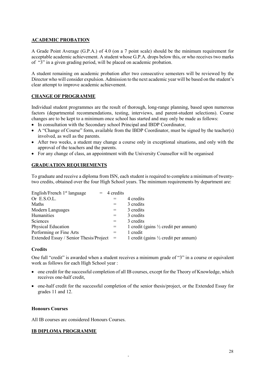#### **ACADEMIC PROBATION**

A Grade Point Average (G.P.A.) of 4.0 (on a 7 point scale) should be the minimum requirement for acceptable academic achievement. A student whose G.P.A. drops below this, or who receives two marks of "3" in a given grading period, will be placed on academic probation.

A student remaining on academic probation after two consecutive semesters will be reviewed by the Director who will consider expulsion. Admission to the next academic year will be based on the student's clear attempt to improve academic achievement.

## **CHANGE OF PROGRAMME**

Individual student programmes are the result of thorough, long-range planning, based upon numerous factors (departmental recommendations, testing, interviews, and parent-student selections). Course changes are to be kept to a minimum once school has started and may only be made as follows:

- In consultation with the Secondary school Principal and IBDP Coordinator,
- A "Change of Course" form, available from the IBDP Coordinator, must be signed by the teacher(s) involved, as well as the parents.
- After two weeks, a student may change a course only in exceptional situations, and only with the approval of the teachers and the parents.
- For any change of class, an appointment with the University Counsellor will be organised

## **GRADUATION REQUIREMENTS**

To graduate and receive a diploma from ISN, each student is required to complete a minimum of twentytwo credits, obtained over the four High School years. The minimum requirements by department are:

| English/French 1 <sup>st</sup> language | $= 4$ credits |                                                 |
|-----------------------------------------|---------------|-------------------------------------------------|
| Or E.S.O.L.                             |               | 4 credits                                       |
| Maths                                   | $=$           | 3 credits                                       |
| Modern Languages                        | $=$           | 3 credits                                       |
| Humanities                              | $=$           | 3 credits                                       |
| Sciences                                | $=$           | 3 credits                                       |
| <b>Physical Education</b>               | $=$           | 1 credit (gains $\frac{1}{2}$ credit per annum) |
| Performing or Fine Arts                 | $=$           | 1 credit                                        |
| Extended Essay / Senior Thesis/Project  | $=$           | 1 credit (gains $\frac{1}{2}$ credit per annum) |

#### **Credits**

One full "credit" is awarded when a student receives a minimum grade of "3" in a course or equivalent work as follows for each High School year :

- one credit for the successful completion of all IB courses, except for the Theory of Knowledge, which receives one-half credit,
- one-half credit for the successful completion of the senior thesis/project, or the Extended Essay for grades 11 and 12.

-

## **Honours Courses**

All IB courses are considered Honours Courses.

#### **IB DIPLOMA PROGRAMME**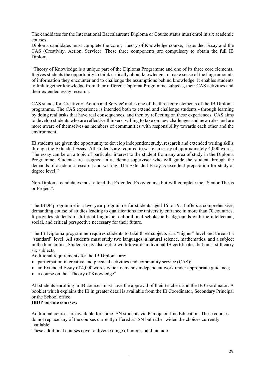The candidates for the International Baccalaureate Diploma or Course status must enrol in six academic courses.

Diploma candidates must complete the core : Theory of Knowledge course, Extended Essay and the CAS (Creativity, Action, Service). These three components are compulsory to obtain the full IB Diploma.

"Theory of Knowledge is a unique part of the Diploma Programme and one of its three core elements. It gives students the opportunity to think critically about knowledge, to make sense of the huge amounts of information they encounter and to challenge the assumptions behind knowledge. It enables students to link together knowledge from their different Diploma Programme subjects, their CAS activities and their extended essay research.

CAS stands for 'Creativity, Action and Service' and is one of the three core elements of the IB Diploma programme. The CAS experience is intended both to extend and challenge students - through learning by doing real tasks that have real consequences, and then by reflecting on these experiences. CAS aims to develop students who are reflective thinkers, willing to take on new challenges and new roles and are more aware of themselves as members of communities with responsibility towards each other and the environment.

IB students are given the opportunity to develop independent study, research and extended writing skills through the Extended Essay. All students are required to write an essay of approximately 4,000 words. The essay can be on a topic of particular interest to the student from any area of study in the Diploma Programme. Students are assigned an academic supervisor who will guide the student through the demands of academic research and writing. The Extended Essay is excellent preparation for study at degree level."

Non-Diploma candidates must attend the Extended Essay course but will complete the "Senior Thesis or Project".

The IBDP programme is a two-year programme for students aged 16 to 19. It offers a comprehensive, demanding course of studies leading to qualifications for university entrance in more than 70 countries. It provides students of different linguistic, cultural, and scholastic backgrounds with the intellectual, social, and critical perspective necessary for their future.

The IB Diploma programme requires students to take three subjects at a "higher" level and three at a "standard" level. All students must study two languages, a natural science, mathematics, and a subject in the humanities. Students may also opt to work towards individual IB certificates, but must still carry six subjects.

Additional requirements for the IB Diploma are:

- participation in creative and physical activities and community service (CAS);
- an Extended Essay of 4,000 words which demands independent work under appropriate guidance;
- a course on the "Theory of Knowledge"

All students enrolling in IB courses must have the approval of their teachers and the IB Coordinator. A booklet which explains the IB in greater detail is available from the IB Coordinator, Secondary Principal or the School office.

#### **IBDP on-line courses:**

Additional courses are available for some ISN students via Pamoja on-line Education. These courses do not replace any of the courses currently offered at ISN but rather widen the choices currently available.

-

These additional courses cover a diverse range of interest and include: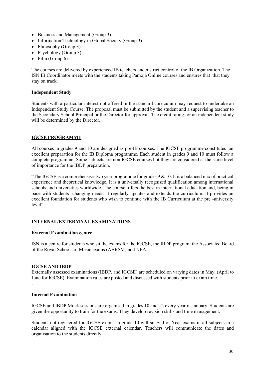- Business and Management (Group 3).
- Information Technology in Global Society (Group 3).
- Philosophy (Group 3).
- Psychology (Group 3).
- Film (Group  $6$ ).

The courses are delivered by experienced IB teachers under strict control of the IB Organization. The ISN IB Coordinator meets with the students taking Pamoja Online courses and ensures that that they stay on track.

#### **Independent Study**

Students with a particular interest not offered in the standard curriculum may request to undertake an Independent Study Course. The proposal must be submitted by the student and a supervising teacher to the Secondary School Principal or the Director for approval. The credit rating for an independent study will be determined by the Director.

#### **IGCSE PROGRAMME**

All courses in grades 9 and 10 are designed as pre-IB courses. The IGCSE programme constitutes an excellent preparation for the IB Diploma programme. Each student in grades 9 and 10 must follow a complete programme. Some subjects are non IGCSE courses but they are considered at the same level of importance for the IBDP preparation.

"The IGCSE is a comprehensive two year programme for grades  $9 \& 10$ . It is a balanced mix of practical experience and theoretical knowledge. It is a universally recognized qualification among international schools and universities worldwide. The course offers the best in international education and, being in pace with students' changing needs, it regularly updates and extends the curriculum. It provides an excellent foundation for students who wish to continue with the IB Curriculum at the pre -university level".

## **INTERNAL/EXTERMNAL EXAMINATIONS**

#### **External Examination centre**

ISN is a centre for students who sit the exams for the IGCSE, the IBDP program, the Associated Board of the Royal Schools of Music exams (ABRSM) and NEA.

#### **IGCSE AND IBDP**

Externally assessed examinations (IBDP, and IGCSE) are scheduled on varying dates in May, (April to June for IGCSE). Examination rules are posted and discussed with students prior to exam time. .

#### **Internal Examination**

IGCSE and IBDP Mock sessions are organised in grades 10 and 12 every year in January. Students are given the opportunity to train for the exams. They develop revision skills and time management.

Students not registered for IGCSE exams in grade 10 will sit End of Year exams in all subjects in a calendar aligned with the IGCSE external calendar. Teachers will communicate the dates and organisation to the students directly.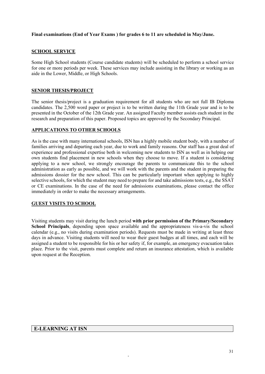## **Final examinations (End of Year Exams ) for grades 6 to 11 are scheduled in May/June.**

#### **SCHOOL SERVICE**

Some High School students (Course candidate students) will be scheduled to perform a school service for one or more periods per week. These services may include assisting in the library or working as an aide in the Lower, Middle, or High Schools.

#### **SENIOR THESIS/PROJECT**

The senior thesis/project is a graduation requirement for all students who are not full IB Diploma candidates. The 2,500 word paper or project is to be written during the 11th Grade year and is to be presented in the October of the 12th Grade year. An assigned Faculty member assists each student in the research and preparation of this paper. Proposed topics are approved by the Secondary Principal.

#### **APPLICATIONS TO OTHER SCHOOLS**

As is the case with many international schools, ISN has a highly mobile student body, with a number of families arriving and departing each year, due to work and family reasons. Our staff has a great deal of experience and professional expertise both in welcoming new students to ISN as well as in helping our own students find placement in new schools when they choose to move. If a student is considering applying to a new school, we strongly encourage the parents to communicate this to the school administration as early as possible, and we will work with the parents and the student in preparing the admissions dossier for the new school. This can be particularly important when applying to highly selective schools, for which the student may need to prepare for and take admissions tests, e.g., the SSAT or CE examinations. In the case of the need for admissions examinations, please contact the office immediately in order to make the necessary arrangements.

## **GUEST VISITS TO SCHOOL**

Visiting students may visit during the lunch period **with prior permission of the Primary/Secondary School Principals**, depending upon space available and the appropriateness vis-a-vis the school calendar (e.g., no visits during examination periods). Requests must be made in writing at least three days in advance. Visiting students will need to wear their guest badges at all times, and each will be assigned a student to be responsible for his or her safety if, for example, an emergency evacuation takes place. Prior to the visit, parents must complete and return an insurance attestation, which is available upon request at the Reception.

-

#### **E-LEARNING AT ISN**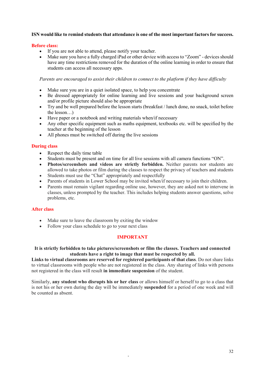## **ISN would like to remind students that attendance is one of the most important factors for success.**

#### **Before class:**

- If you are not able to attend, please notify your teacher.
- Make sure you have a fully charged iPad or other device with access to "Zoom" devices should have any time restrictions removed for the duration of the online learning in order to ensure that students can access all necessary apps.

*Parents are encouraged to assist their children to connect to the platform if they have difficulty*

- Make sure you are in a quiet isolated space, to help you concentrate
- Be dressed appropriately for online learning and live sessions and your background screen and/or profile picture should also be appropriate
- Try and be well prepared before the lesson starts (breakfast / lunch done, no snack, toilet before the lesson…)
- Have paper or a notebook and writing materials when/if necessary
- Any other specific equipment such as maths equipment, textbooks etc. will be specified by the teacher at the beginning of the lesson
- All phones must be switched off during the live sessions

## **During class**

- Respect the daily time table
- Students must be present and on time for all live sessions with all camera functions "ON".
- **Photos/screenshots and videos are strictly forbidden.** Neither parents nor students are allowed to take photos or film during the classes to respect the privacy of teachers and students
- Students must use the "Chat" appropriately and respectfully
- Parents of students in Lower School may be invited when/if necessary to join their children.
- Parents must remain vigilant regarding online use, however, they are asked not to intervene in classes, unless prompted by the teacher. This includes helping students answer questions, solve problems, etc.

#### **After class**

- Make sure to leave the classroom by exiting the window
- Follow your class schedule to go to your next class

## **IMPORTANT**

**It is strictly forbidden to take pictures/screenshots or film the classes. Teachers and connected students have a right to image that must be respected by all.**

**Links to virtual classrooms are reserved for registered participants of that class**. Do not share links to virtual classrooms with people who are not registered in the class. Any sharing of links with persons not registered in the class will result **in immediate suspension** of the student.

Similarly, **any student who disrupts his or her class** or allows himself or herself to go to a class that is not his or her own during the day will be immediately **suspended** for a period of one week and will be counted as absent.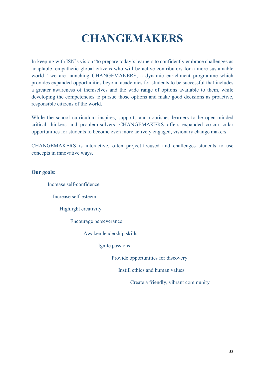# **CHANGEMAKERS**

In keeping with ISN's vision "to prepare today's learners to confidently embrace challenges as adaptable, empathetic global citizens who will be active contributors for a more sustainable world," we are launching CHANGEMAKERS, a dynamic enrichment programme which provides expanded opportunities beyond academics for students to be successful that includes a greater awareness of themselves and the wide range of options available to them, while developing the competencies to pursue those options and make good decisions as proactive, responsible citizens of the world.

While the school curriculum inspires, supports and nourishes learners to be open-minded critical thinkers and problem-solvers, CHANGEMAKERS offers expanded co-curricular opportunities for students to become even more actively engaged, visionary change makers.

CHANGEMAKERS is interactive, often project-focused and challenges students to use concepts in innovative ways.

## **Our goals:**

Increase self-confidence Increase self-esteem Highlight creativity Encourage perseverance Awaken leadership skills Ignite passions Provide opportunities for discovery Instill ethics and human values Create a friendly, vibrant community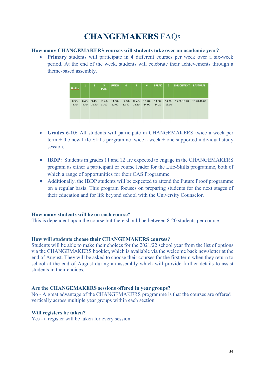# **CHANGEMAKERS** FAQs

#### **How many CHANGEMAKERS courses will students take over an academic year?**

• **Primary** students will participate in 4 different courses per week over a six-week period. At the end of the week, students will celebrate their achievements through a theme-based assembly.



- **Grades 6-10:** All students will participate in CHANGEMAKERS twice a week per term + the new Life-Skills programme twice a week + one supported individual study session.
- **IBDP:** Students in grades 11 and 12 are expected to engage in the CHANGEMAKERS program as either a participant or course leader for the Life-Skills programme, both of which a range of opportunities for their CAS Programme.
- Additionally, the IBDP students will be expected to attend the Future Proof programme on a regular basis. This program focuses on preparing students for the next stages of their education and for life beyond school with the University Counselor.

## **How many students will be on each course?**

This is dependent upon the course but there should be between 8-20 students per course.

## **How will students choose their CHANGEMAKERS courses?**

Students will be able to make their choices for the 2021/22 school year from the list of options via the CHANGEMAKERS booklet, which is available via the welcome back newsletter at the end of August. They will be asked to choose their courses for the first term when they return to school at the end of August during an assembly which will provide further details to assist students in their choices.

## **Are the CHANGEMAKERS sessions offered in year groups?**

No - A great advantage of the CHANGEMAKERS programme is that the courses are offered vertically across multiple year groups within each section.

-

#### **Will registers be taken?**

Yes - a register will be taken for every session.